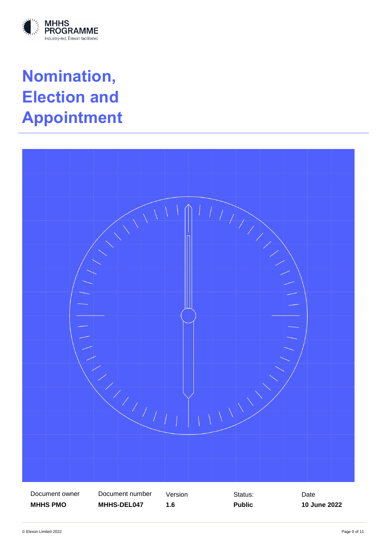

# **Nomination, Election and Appointment**

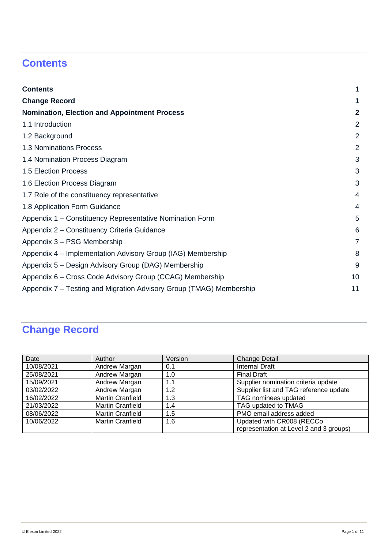# <span id="page-1-0"></span>**Contents**

| <b>Contents</b>                                                     | 1              |
|---------------------------------------------------------------------|----------------|
| <b>Change Record</b>                                                | 1              |
| <b>Nomination, Election and Appointment Process</b>                 | $\mathbf{2}$   |
| 1.1 Introduction                                                    | $\overline{2}$ |
| 1.2 Background                                                      | $\overline{2}$ |
| 1.3 Nominations Process                                             | $\overline{2}$ |
| 1.4 Nomination Process Diagram                                      | 3              |
| 1.5 Election Process                                                | 3              |
| 1.6 Election Process Diagram                                        | 3              |
| 1.7 Role of the constituency representative                         | 4              |
| 1.8 Application Form Guidance                                       | 4              |
| Appendix 1 - Constituency Representative Nomination Form            | 5              |
| Appendix 2 - Constituency Criteria Guidance                         | 6              |
| Appendix 3 – PSG Membership                                         | $\overline{7}$ |
| Appendix 4 – Implementation Advisory Group (IAG) Membership         | 8              |
| Appendix 5 – Design Advisory Group (DAG) Membership                 | 9              |
| Appendix 6 – Cross Code Advisory Group (CCAG) Membership            | 10             |
| Appendix 7 – Testing and Migration Advisory Group (TMAG) Membership | 11             |

# <span id="page-1-1"></span>**Change Record**

| Date       | Author                  | Version | <b>Change Detail</b>                    |
|------------|-------------------------|---------|-----------------------------------------|
| 10/08/2021 | Andrew Margan           | 0.1     | Internal Draft                          |
| 25/08/2021 | Andrew Margan           | 1.0     | <b>Final Draft</b>                      |
| 15/09/2021 | Andrew Margan           | 1.1     | Supplier nomination criteria update     |
| 03/02/2022 | Andrew Margan           | 1.2     | Supplier list and TAG reference update  |
| 16/02/2022 | <b>Martin Cranfield</b> | 1.3     | TAG nominees updated                    |
| 21/03/2022 | <b>Martin Cranfield</b> | 1.4     | TAG updated to TMAG                     |
| 08/06/2022 | <b>Martin Cranfield</b> | 1.5     | PMO email address added                 |
| 10/06/2022 | <b>Martin Cranfield</b> | 1.6     | Updated with CR008 (RECCo               |
|            |                         |         | representation at Level 2 and 3 groups) |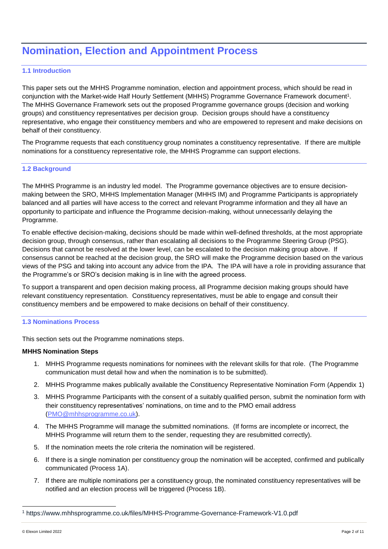## <span id="page-2-0"></span>**Nomination, Election and Appointment Process**

#### <span id="page-2-1"></span>**1.1 Introduction**

This paper sets out the MHHS Programme nomination, election and appointment process, which should be read in conjunction with the Market-wide Half Hourly Settlement (MHHS) Programme Governance Framework document<sup>1</sup>. The MHHS Governance Framework sets out the proposed Programme governance groups (decision and working groups) and constituency representatives per decision group. Decision groups should have a constituency representative, who engage their constituency members and who are empowered to represent and make decisions on behalf of their constituency.

The Programme requests that each constituency group nominates a constituency representative. If there are multiple nominations for a constituency representative role, the MHHS Programme can support elections.

#### <span id="page-2-2"></span>**1.2 Background**

The MHHS Programme is an industry led model. The Programme governance objectives are to ensure decisionmaking between the SRO, MHHS Implementation Manager (MHHS IM) and Programme Participants is appropriately balanced and all parties will have access to the correct and relevant Programme information and they all have an opportunity to participate and influence the Programme decision-making, without unnecessarily delaying the Programme.

To enable effective decision-making, decisions should be made within well-defined thresholds, at the most appropriate decision group, through consensus, rather than escalating all decisions to the Programme Steering Group (PSG). Decisions that cannot be resolved at the lower level, can be escalated to the decision making group above. If consensus cannot be reached at the decision group, the SRO will make the Programme decision based on the various views of the PSG and taking into account any advice from the IPA. The IPA will have a role in providing assurance that the Programme's or SRO's decision making is in line with the agreed process.

To support a transparent and open decision making process, all Programme decision making groups should have relevant constituency representation. Constituency representatives, must be able to engage and consult their constituency members and be empowered to make decisions on behalf of their constituency.

#### <span id="page-2-3"></span>**1.3 Nominations Process**

This section sets out the Programme nominations steps.

#### **MHHS Nomination Steps**

- 1. MHHS Programme requests nominations for nominees with the relevant skills for that role. (The Programme communication must detail how and when the nomination is to be submitted).
- 2. MHHS Programme makes publically available the Constituency Representative Nomination Form (Appendix 1)
- 3. MHHS Programme Participants with the consent of a suitably qualified person, submit the nomination form with their constituency representatives' nominations, on time and to the PMO email address (PMO@mhhsprogramme.co.uk).
- 4. The MHHS Programme will manage the submitted nominations. (If forms are incomplete or incorrect, the MHHS Programme will return them to the sender, requesting they are resubmitted correctly).
- 5. If the nomination meets the role criteria the nomination will be registered.
- 6. If there is a single nomination per constituency group the nomination will be accepted, confirmed and publically communicated (Process 1A).
- 7. If there are multiple nominations per a constituency group, the nominated constituency representatives will be notified and an election process will be triggered (Process 1B).

l

<sup>1</sup> https://www.mhhsprogramme.co.uk/files/MHHS-Programme-Governance-Framework-V1.0.pdf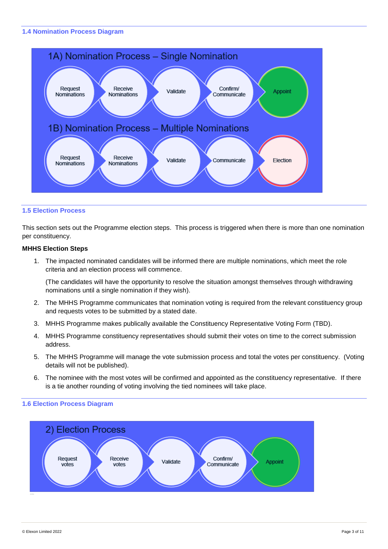#### <span id="page-3-0"></span>**1.4 Nomination Process Diagram**



#### <span id="page-3-1"></span>**1.5 Election Process**

This section sets out the Programme election steps. This process is triggered when there is more than one nomination per constituency.

#### **MHHS Election Steps**

1. The impacted nominated candidates will be informed there are multiple nominations, which meet the role criteria and an election process will commence.

(The candidates will have the opportunity to resolve the situation amongst themselves through withdrawing nominations until a single nomination if they wish).

- 2. The MHHS Programme communicates that nomination voting is required from the relevant constituency group and requests votes to be submitted by a stated date.
- 3. MHHS Programme makes publically available the Constituency Representative Voting Form (TBD).
- 4. MHHS Programme constituency representatives should submit their votes on time to the correct submission address.
- 5. The MHHS Programme will manage the vote submission process and total the votes per constituency. (Voting details will not be published).
- 6. The nominee with the most votes will be confirmed and appointed as the constituency representative. If there is a tie another rounding of voting involving the tied nominees will take place.



#### <span id="page-3-2"></span>**1.6 Election Process Diagram**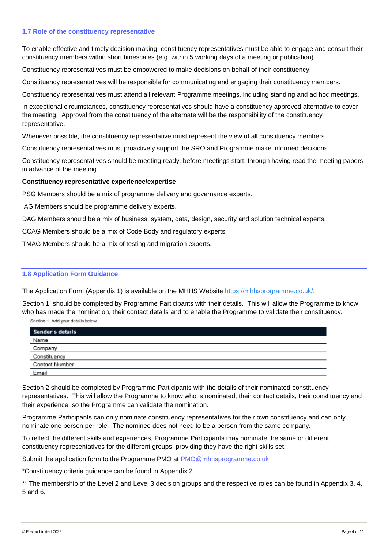#### <span id="page-4-0"></span>**1.7 Role of the constituency representative**

To enable effective and timely decision making, constituency representatives must be able to engage and consult their constituency members within short timescales (e.g. within 5 working days of a meeting or publication).

Constituency representatives must be empowered to make decisions on behalf of their constituency.

Constituency representatives will be responsible for communicating and engaging their constituency members.

Constituency representatives must attend all relevant Programme meetings, including standing and ad hoc meetings.

In exceptional circumstances, constituency representatives should have a constituency approved alternative to cover the meeting. Approval from the constituency of the alternate will be the responsibility of the constituency representative.

Whenever possible, the constituency representative must represent the view of all constituency members.

Constituency representatives must proactively support the SRO and Programme make informed decisions.

Constituency representatives should be meeting ready, before meetings start, through having read the meeting papers in advance of the meeting.

#### **Constituency representative experience/expertise**

PSG Members should be a mix of programme delivery and governance experts.

IAG Members should be programme delivery experts.

DAG Members should be a mix of business, system, data, design, security and solution technical experts.

CCAG Members should be a mix of Code Body and regulatory experts.

TMAG Members should be a mix of testing and migration experts.

#### <span id="page-4-1"></span>**1.8 Application Form Guidance**

The Application Form (Appendix 1) is available on the MHHS Website [https://mhhsprogramme.co.uk/.](https://mhhsprogramme.co.uk/)

Section 1, should be completed by Programme Participants with their details. This will allow the Programme to know who has made the nomination, their contact details and to enable the Programme to validate their constituency. Section 1. Add your details below.

Sender's details Name Company Constituency Contact Number Email

Section 2 should be completed by Programme Participants with the details of their nominated constituency representatives. This will allow the Programme to know who is nominated, their contact details, their constituency and their experience, so the Programme can validate the nomination.

Programme Participants can only nominate constituency representatives for their own constituency and can only nominate one person per role. The nominee does not need to be a person from the same company.

To reflect the different skills and experiences, Programme Participants may nominate the same or different constituency representatives for the different groups, providing they have the right skills set.

Submit the application form to the Programme PMO at PMO@mhhsprogramme.co.uk

\*Constituency criteria guidance can be found in Appendix 2.

\*\* The membership of the Level 2 and Level 3 decision groups and the respective roles can be found in Appendix 3, 4, 5 and 6.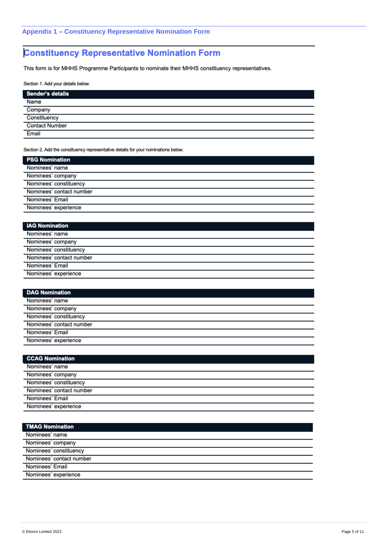### <span id="page-5-0"></span>**Constituency Representative Nomination Form**

This form is for MHHS Programme Participants to nominate their MHHS constituency representatives.

Section 1. Add your details below.

| Sender's details      |
|-----------------------|
| Name                  |
| Company               |
| Constituency          |
| <b>Contact Number</b> |
| Email                 |

Section 2. Add the constituency representative details for your nominations below.

| <b>PSG Nomination</b>    |
|--------------------------|
| Nominees' name           |
| Nominees' company        |
| Nominees' constituency   |
| Nominees' contact number |
| Nominees' Email          |
| Nominees' experience     |

| <b>IAG Nomination</b>    |  |
|--------------------------|--|
| Nominees' name           |  |
| Nominees' company        |  |
| Nominees' constituency   |  |
| Nominees' contact number |  |
| Nominees' Email          |  |
| Nominees' experience     |  |
|                          |  |

| <b>DAG Nomination</b>    |
|--------------------------|
| Nominees' name           |
| Nominees' company        |
| Nominees' constituency   |
| Nominees' contact number |
| Nominees' Email          |
| Nominees' experience     |

| <b>CCAG Nomination</b>   |
|--------------------------|
| Nominees' name           |
| Nominees' company        |
| Nominees' constituency   |
| Nominees' contact number |
| Nominees' Email          |
| Nominees' experience     |

| <b>TMAG Nomination</b>   |
|--------------------------|
| Nominees' name           |
| Nominees' company        |
| Nominees' constituency   |
| Nominees' contact number |
| Nominees' Email          |
| Nominees' experience     |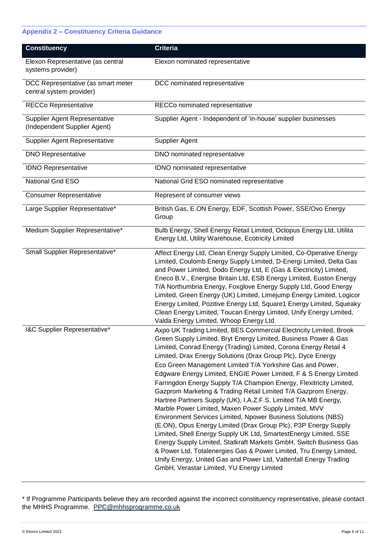#### <span id="page-6-0"></span>**Appendix 2 – Constituency Criteria Guidance**

| <b>Constituency</b>                                                  | <b>Criteria</b>                                                                                                                                                                                                                                                                                                                                                                                                                                                                                                                                                                                                                                                                                                                                                                                                                                                                                                                                                                                                                                                                                                                                         |
|----------------------------------------------------------------------|---------------------------------------------------------------------------------------------------------------------------------------------------------------------------------------------------------------------------------------------------------------------------------------------------------------------------------------------------------------------------------------------------------------------------------------------------------------------------------------------------------------------------------------------------------------------------------------------------------------------------------------------------------------------------------------------------------------------------------------------------------------------------------------------------------------------------------------------------------------------------------------------------------------------------------------------------------------------------------------------------------------------------------------------------------------------------------------------------------------------------------------------------------|
| Elexon Representative (as central<br>systems provider)               | Elexon nominated representative                                                                                                                                                                                                                                                                                                                                                                                                                                                                                                                                                                                                                                                                                                                                                                                                                                                                                                                                                                                                                                                                                                                         |
| DCC Representative (as smart meter<br>central system provider)       | DCC nominated representative                                                                                                                                                                                                                                                                                                                                                                                                                                                                                                                                                                                                                                                                                                                                                                                                                                                                                                                                                                                                                                                                                                                            |
| RECCo Representative                                                 | RECCo nominated representative                                                                                                                                                                                                                                                                                                                                                                                                                                                                                                                                                                                                                                                                                                                                                                                                                                                                                                                                                                                                                                                                                                                          |
| <b>Supplier Agent Representative</b><br>(Independent Supplier Agent) | Supplier Agent - Independent of 'in-house' supplier businesses                                                                                                                                                                                                                                                                                                                                                                                                                                                                                                                                                                                                                                                                                                                                                                                                                                                                                                                                                                                                                                                                                          |
| Supplier Agent Representative                                        | Supplier Agent                                                                                                                                                                                                                                                                                                                                                                                                                                                                                                                                                                                                                                                                                                                                                                                                                                                                                                                                                                                                                                                                                                                                          |
| <b>DNO Representative</b>                                            | DNO nominated representative                                                                                                                                                                                                                                                                                                                                                                                                                                                                                                                                                                                                                                                                                                                                                                                                                                                                                                                                                                                                                                                                                                                            |
| <b>IDNO Representative</b>                                           | IDNO nominated representative                                                                                                                                                                                                                                                                                                                                                                                                                                                                                                                                                                                                                                                                                                                                                                                                                                                                                                                                                                                                                                                                                                                           |
| National Grid ESO                                                    | National Grid ESO nominated representative                                                                                                                                                                                                                                                                                                                                                                                                                                                                                                                                                                                                                                                                                                                                                                                                                                                                                                                                                                                                                                                                                                              |
| <b>Consumer Representative</b>                                       | Represent of consumer views                                                                                                                                                                                                                                                                                                                                                                                                                                                                                                                                                                                                                                                                                                                                                                                                                                                                                                                                                                                                                                                                                                                             |
| Large Supplier Representative*                                       | British Gas, E.ON Energy, EDF, Scottish Power, SSE/Ovo Energy<br>Group                                                                                                                                                                                                                                                                                                                                                                                                                                                                                                                                                                                                                                                                                                                                                                                                                                                                                                                                                                                                                                                                                  |
| Medium Supplier Representative*                                      | Bulb Energy, Shell Energy Retail Limited, Octopus Energy Ltd, Utilita<br>Energy Ltd, Utility Warehouse, Ecotricity Limited                                                                                                                                                                                                                                                                                                                                                                                                                                                                                                                                                                                                                                                                                                                                                                                                                                                                                                                                                                                                                              |
| Small Supplier Representative*                                       | Affect Energy Ltd, Clean Energy Supply Limited, Co-Operative Energy<br>Limited, Coulomb Energy Supply Limited, D-Energi Limited, Delta Gas<br>and Power Limited, Dodo Energy Ltd, E (Gas & Electricity) Limited,<br>Eneco B.V., Energise Britain Ltd, ESB Energy Limited, Euston Energy<br>T/A Northumbria Energy, Foxglove Energy Supply Ltd, Good Energy<br>Limited, Green Energy (UK) Limited, Limejump Energy Limited, Logicor<br>Energy Limited, Pozitive Energy Ltd, Square1 Energy Limited, Squeaky<br>Clean Energy Limited, Toucan Energy Limited, Unify Energy Limited,<br>Valda Energy Limited, Whoop Energy Ltd                                                                                                                                                                                                                                                                                                                                                                                                                                                                                                                              |
| I&C Supplier Representative*                                         | Axpo UK Trading Limited, BES Commercial Electricity Limited, Brook<br>Green Supply Limited, Bryt Energy Limited, Business Power & Gas<br>Limited, Conrad Energy (Trading) Limited, Corona Energy Retail 4<br>Limited, Drax Energy Solutions (Drax Group Plc), Dyce Energy<br>Eco Green Management Limited T/A Yorkshire Gas and Power,<br>Edgware Energy Limited, ENGIE Power Limited, F & S Energy Limited<br>Farringdon Energy Supply T/A Champion Energy, Flexitricity Limited,<br>Gazprom Marketing & Trading Retail Limited T/A Gazprom Energy,<br>Hartree Partners Supply (UK), I.A.Z.F.S. Limited T/A MB Energy,<br>Marble Power Limited, Maxen Power Supply Limited, MVV<br>Environment Services Limited, Npower Business Solutions (NBS)<br>(E.ON), Opus Energy Limited (Drax Group Plc), P3P Energy Supply<br>Limited, Shell Energy Supply UK Ltd, SmartestEnergy Limited, SSE<br>Energy Supply Limited, Statkraft Markets GmbH, Switch Business Gas<br>& Power Ltd, Totalenergies Gas & Power Limited, Tru Energy Limited,<br>Unify Energy, United Gas and Power Ltd, Vattenfall Energy Trading<br>GmbH, Verastar Limited, YU Energy Limited |

\* If Programme Participants believe they are recorded against the incorrect constituency representative, please contact the MHHS Programme. [PPC@mhhsprogramme.co.uk](mailto:PPC@mhhsprogramme.co.uk)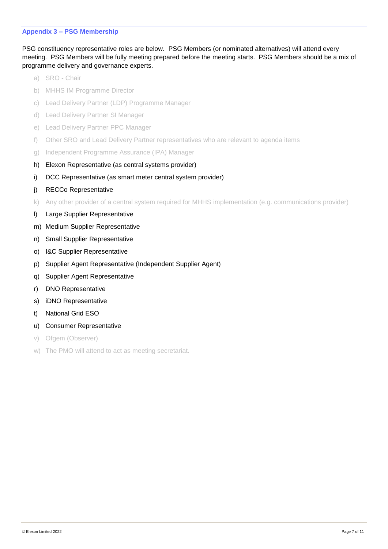#### <span id="page-7-0"></span>**Appendix 3 – PSG Membership**

PSG constituency representative roles are below. PSG Members (or nominated alternatives) will attend every meeting. PSG Members will be fully meeting prepared before the meeting starts. PSG Members should be a mix of programme delivery and governance experts.

- a) SRO Chair
- b) MHHS IM Programme Director
- c) Lead Delivery Partner (LDP) Programme Manager
- d) Lead Delivery Partner SI Manager
- e) Lead Delivery Partner PPC Manager
- f) Other SRO and Lead Delivery Partner representatives who are relevant to agenda items
- g) Independent Programme Assurance (IPA) Manager
- h) Elexon Representative (as central systems provider)
- i) DCC Representative (as smart meter central system provider)
- j) RECCo Representative
- k) Any other provider of a central system required for MHHS implementation (e.g. communications provider)
- l) Large Supplier Representative
- m) Medium Supplier Representative
- n) Small Supplier Representative
- o) I&C Supplier Representative
- p) Supplier Agent Representative (Independent Supplier Agent)
- q) Supplier Agent Representative
- r) DNO Representative
- s) iDNO Representative
- t) National Grid ESO
- u) Consumer Representative
- v) Ofgem (Observer)
- w) The PMO will attend to act as meeting secretariat.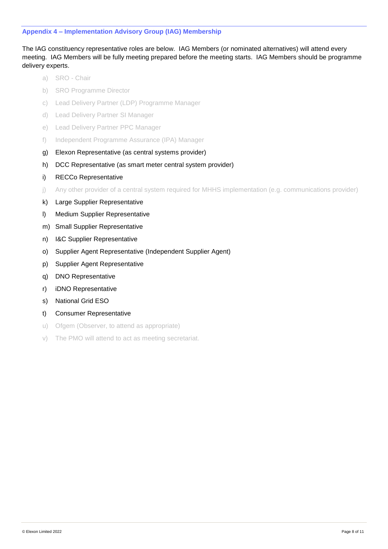#### <span id="page-8-0"></span>**Appendix 4 – Implementation Advisory Group (IAG) Membership**

The IAG constituency representative roles are below. IAG Members (or nominated alternatives) will attend every meeting. IAG Members will be fully meeting prepared before the meeting starts. IAG Members should be programme delivery experts.

- a) SRO Chair
- b) SRO Programme Director
- c) Lead Delivery Partner (LDP) Programme Manager
- d) Lead Delivery Partner SI Manager
- e) Lead Delivery Partner PPC Manager
- f) Independent Programme Assurance (IPA) Manager
- g) Elexon Representative (as central systems provider)
- h) DCC Representative (as smart meter central system provider)
- i) RECCo Representative
- j) Any other provider of a central system required for MHHS implementation (e.g. communications provider)
- k) Large Supplier Representative
- l) Medium Supplier Representative
- m) Small Supplier Representative
- n) I&C Supplier Representative
- o) Supplier Agent Representative (Independent Supplier Agent)
- p) Supplier Agent Representative
- q) DNO Representative
- r) iDNO Representative
- s) National Grid ESO
- t) Consumer Representative
- u) Ofgem (Observer, to attend as appropriate)
- v) The PMO will attend to act as meeting secretariat.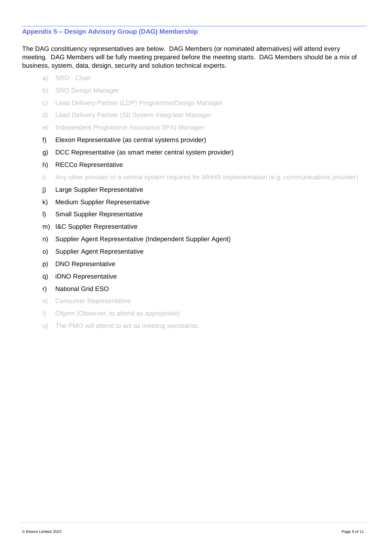#### <span id="page-9-0"></span>**Appendix 5 – Design Advisory Group (DAG) Membership**

The DAG constituency representatives are below. DAG Members (or nominated alternatives) will attend every meeting. DAG Members will be fully meeting prepared before the meeting starts. DAG Members should be a mix of business, system, data, design, security and solution technical experts.

- a) SRO Chair
- b) SRO Design Manager
- c) Lead Delivery Partner (LDP) Programme/Design Manager
- d) Lead Delivery Partner (SI) System Integrator Manager
- e) Independent Programme Assurance (IPA) Manager
- f) Elexon Representative (as central systems provider)
- g) DCC Representative (as smart meter central system provider)
- h) RECCo Representative
- i) Any other provider of a central system required for MHHS implementation (e.g. communications provider)
- i) Large Supplier Representative
- k) Medium Supplier Representative
- l) Small Supplier Representative
- m) I&C Supplier Representative
- n) Supplier Agent Representative (Independent Supplier Agent)
- o) Supplier Agent Representative
- p) DNO Representative
- q) iDNO Representative
- r) National Grid ESO
- s) Consumer Representative
- t) Ofgem (Observer, to attend as appropriate)
- u) The PMO will attend to act as meeting secretariat.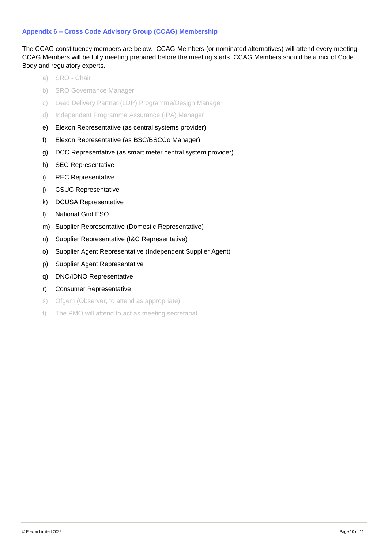#### <span id="page-10-0"></span>**Appendix 6 – Cross Code Advisory Group (CCAG) Membership**

The CCAG constituency members are below. CCAG Members (or nominated alternatives) will attend every meeting. CCAG Members will be fully meeting prepared before the meeting starts. CCAG Members should be a mix of Code Body and regulatory experts.

- a) SRO Chair
- b) SRO Governance Manager
- c) Lead Delivery Partner (LDP) Programme/Design Manager
- d) Independent Programme Assurance (IPA) Manager
- e) Elexon Representative (as central systems provider)
- f) Elexon Representative (as BSC/BSCCo Manager)
- g) DCC Representative (as smart meter central system provider)
- h) SEC Representative
- i) REC Representative
- j) CSUC Representative
- k) DCUSA Representative
- l) National Grid ESO
- m) Supplier Representative (Domestic Representative)
- n) Supplier Representative (I&C Representative)
- o) Supplier Agent Representative (Independent Supplier Agent)
- p) Supplier Agent Representative
- q) DNO/iDNO Representative
- r) Consumer Representative
- s) Ofgem (Observer, to attend as appropriate)
- t) The PMO will attend to act as meeting secretariat.